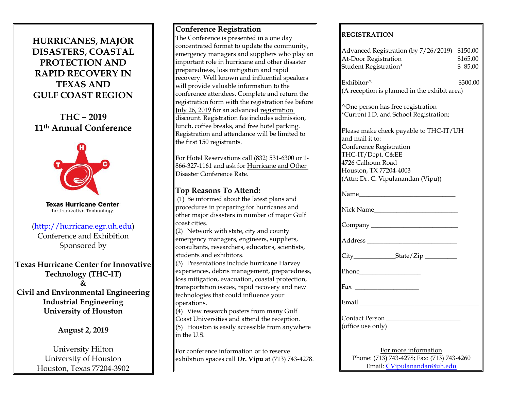# **HURRICANES, MAJOR DISASTERS, COASTAL PROTECTION AND RAPID RECOVERY IN TEXAS AND GULF COAST REGION**

**THC – 2019 11th Annual Conference**



**Texas Hurricane Center** for Innovative Technology

## [\(http://hurricane.egr.uh.edu\)](http://hurricane.egr.uh.edu/)

Conference and Exhibition Sponsored by

**Texas Hurricane Center for Innovative Technology (THC-IT) & Civil and Environmental Engineering Industrial Engineering University of Houston**

# **August 2, 2019**

University Hilton University of Houston Houston, Texas 77204-3902

### **Conference Registration**

The Conference is presented in a one day concentrated format to update the community, emergency managers and suppliers who play an important role in hurricane and other disaster preparedness, loss mitigation and rapid recovery. Well known and influential speakers will provide valuable information to the conference attendees. Complete and return the registration form with the registration fee before July 26, 2019 for an advanced registration discount. Registration fee includes admission, lunch, coffee breaks, and free hotel parking. Registration and attendance will be limited to the first 150 registrants.

For Hotel Reservations call (832) 531-6300 or 1- 866-327-1161 and ask for Hurricane and Other Disaster Conference Rate.

# **Top Reasons To Attend:**

(1) Be informed about the latest plans and procedures in preparing for hurricanes and other major disasters in number of major Gulf coast cities.

 $(2)$  Network with state, city and county emergency managers, engineers, suppliers, consultants, researchers, educators, scientists, students and exhibitors.

 $(3)$  Presentations include hurricane Harvey experiences, debris management, preparedness, loss mitigation, evacuation, coastal protection, transportation issues, rapid recovery and new technologies that could influence your operations.

 $\overline{q(4)}$  View research posters from many Gulf Coast Universities and attend the reception.  $\parallel$ (5) Houston is easily accessible from anywhere  $\mathsf{lin}$  the U.S.

For conference information or to reserve exhibition spaces call **Dr. Vipu** at (713) 743-4278.

## **REGISTRATION**

| Advanced Registration (by 7/26/2019) \$150.00<br>At-Door Registration<br>Student Registration*                                                                                                 | \$165.00<br>\$85.00 |
|------------------------------------------------------------------------------------------------------------------------------------------------------------------------------------------------|---------------------|
| Exhibitor^<br>(A reception is planned in the exhibit area)                                                                                                                                     | \$300.00            |
| ^One person has free registration<br>*Current I.D. and School Registration;                                                                                                                    |                     |
| Please make check payable to THC-IT/UH<br>and mail it to:<br>Conference Registration<br>THC-IT/Dept. C&EE<br>4726 Calhoun Road<br>Houston, TX 77204-4003<br>(Attn: Dr. C. Vipulanandan (Vipu)) |                     |
|                                                                                                                                                                                                |                     |
| Nick Name                                                                                                                                                                                      |                     |
|                                                                                                                                                                                                |                     |
|                                                                                                                                                                                                |                     |
|                                                                                                                                                                                                |                     |
|                                                                                                                                                                                                |                     |
|                                                                                                                                                                                                |                     |
|                                                                                                                                                                                                |                     |
| Contact Person<br>(office use only)                                                                                                                                                            |                     |
| For more information<br>Phone: (713) 743-4278; Fax: (713) 743-4260<br>Email: CVipulanandan@uh.edu                                                                                              |                     |